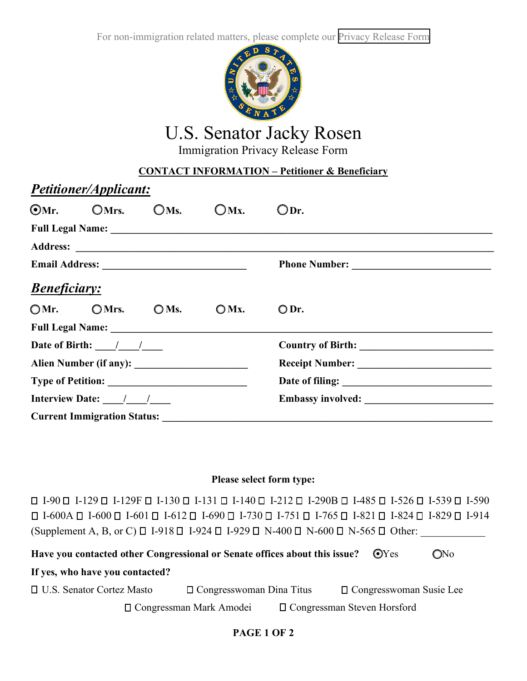For non-immigration related matters, please complete our [Privacy Release Form](https://www.rosen.senate.gov/sites/default/files/2022-03/PRF%20Privacy%20Form%205.0%20fillable_0.pdf)



# U.S. Senator Jacky Rosen

Immigration Privacy Release Form

## **CONTACT INFORMATION – Petitioner & Beneficiary**

|                                                  | Petitioner/Applicant:              |      |         |      |  |  |
|--------------------------------------------------|------------------------------------|------|---------|------|--|--|
|                                                  | OMr. OMrs.                         | OMs. | $OMx$ . | ODr. |  |  |
|                                                  |                                    |      |         |      |  |  |
|                                                  |                                    |      |         |      |  |  |
|                                                  |                                    |      |         |      |  |  |
| <b>Beneficiary:</b>                              |                                    |      |         |      |  |  |
|                                                  | $OMr.$ OMrs. OMs.                  |      | $OMx$ . | ODr. |  |  |
|                                                  |                                    |      |         |      |  |  |
| Date of Birth: $\frac{\ }{\ }$ / $\frac{\ }{\ }$ |                                    |      |         |      |  |  |
|                                                  |                                    |      |         |      |  |  |
|                                                  |                                    |      |         |      |  |  |
| Interview Date: $\frac{1}{\sqrt{1-\frac{1}{2}}}$ |                                    |      |         |      |  |  |
|                                                  | <b>Current Immigration Status:</b> |      |         |      |  |  |

## **Please select form type:**

 $\Box$  I-90  $\Box$  I-129  $\Box$  I-129  $\Box$  I-130  $\Box$  I-131  $\Box$  I-140  $\Box$  I-212  $\Box$  I-485  $\Box$  I-526  $\Box$  I-539  $\Box$  I-590  $\Box$  I-600A  $\Box$  I-600  $\Box$  I-601  $\Box$  I-612  $\Box$  I-730  $\Box$  I-751  $\Box$  I-765  $\Box$  I-821  $\Box$  I-824  $\Box$  I-829  $\Box$  I-914 (Supplement A, B, or C)  $\Box$  I-918  $\Box$  I-924  $\Box$  I-929  $\Box$  N-400  $\Box$  N-600  $\Box$  N-565  $\Box$  Other:

| Have you contacted other Congressional or Senate offices about this issue? |  |                                 |                                    |  |                                | ONo |
|----------------------------------------------------------------------------|--|---------------------------------|------------------------------------|--|--------------------------------|-----|
| If yes, who have you contacted?                                            |  |                                 |                                    |  |                                |     |
| $\Box$ U.S. Senator Cortez Masto                                           |  | $\Box$ Congresswoman Dina Titus |                                    |  | $\Box$ Congresswoman Susie Lee |     |
|                                                                            |  | $\Box$ Congressman Mark Amodei  | $\Box$ Congressman Steven Horsford |  |                                |     |

## **PAGE 1 OF 2**